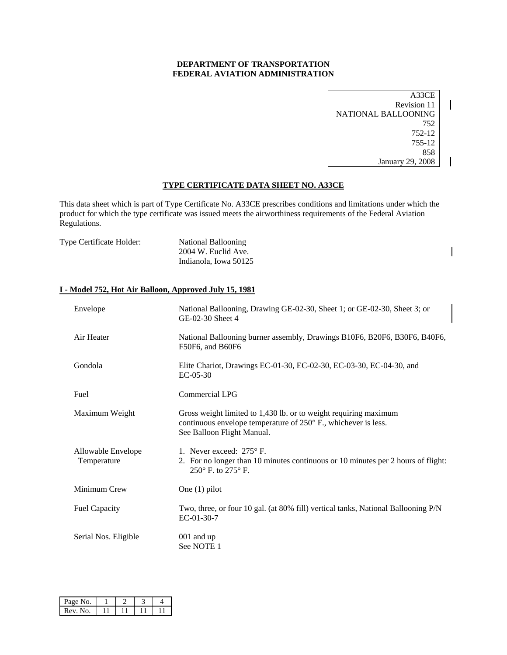### **DEPARTMENT OF TRANSPORTATION FEDERAL AVIATION ADMINISTRATION**

A33CE Revision 11 NATIONAL BALLOONING 752 752-12 755-12 858 January 29, 2008 

 $\overline{\phantom{a}}$ 

 $\mathsf{l}$ 

### **TYPE CERTIFICATE DATA SHEET NO. A33CE**

This data sheet which is part of Type Certificate No. A33CE prescribes conditions and limitations under which the product for which the type certificate was issued meets the airworthiness requirements of the Federal Aviation Regulations.

| <b>Type Certificate Holder:</b> | National Ballooning   |
|---------------------------------|-----------------------|
|                                 | 2004 W. Euclid Ave.   |
|                                 | Indianola, Iowa 50125 |

#### **I - Model 752, Hot Air Balloon, Approved July 15, 1981**

| Envelope                          | National Ballooning, Drawing GE-02-30, Sheet 1; or GE-02-30, Sheet 3; or<br>GE-02-30 Sheet 4                                                                     |
|-----------------------------------|------------------------------------------------------------------------------------------------------------------------------------------------------------------|
| Air Heater                        | National Ballooning burner assembly, Drawings B10F6, B20F6, B30F6, B40F6,<br>F50F6, and B60F6                                                                    |
| Gondola                           | Elite Chariot, Drawings EC-01-30, EC-02-30, EC-03-30, EC-04-30, and<br>$EC-05-30$                                                                                |
| Fuel                              | Commercial LPG                                                                                                                                                   |
| Maximum Weight                    | Gross weight limited to 1,430 lb. or to weight requiring maximum<br>continuous envelope temperature of 250° F., whichever is less.<br>See Balloon Flight Manual. |
| Allowable Envelope<br>Temperature | 1. Never exceed: 275° F.<br>2. For no longer than 10 minutes continuous or 10 minutes per 2 hours of flight:<br>250° F. to 275° F.                               |
| Minimum Crew                      | One $(1)$ pilot                                                                                                                                                  |
| <b>Fuel Capacity</b>              | Two, three, or four 10 gal. (at 80% fill) vertical tanks, National Ballooning P/N<br>$EC-01-30-7$                                                                |
| Serial Nos. Eligible              | $001$ and up<br>See NOTE 1                                                                                                                                       |

| Page No. |  |  |
|----------|--|--|
| Rev. No. |  |  |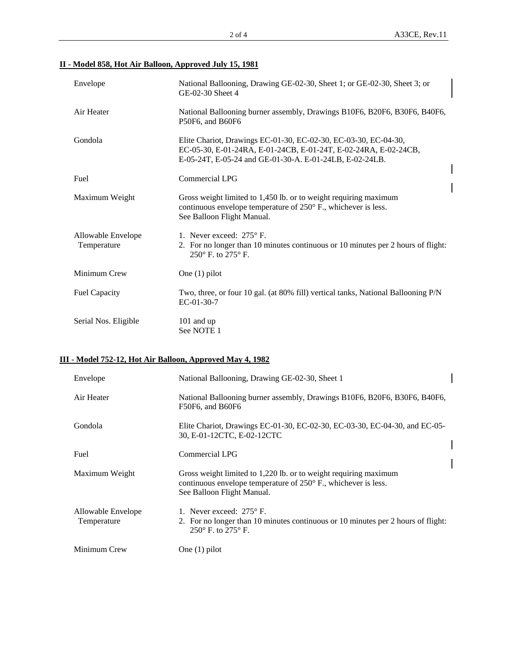# **II - Model 858, Hot Air Balloon, Approved July 15, 1981**

| Envelope             |                      | National Ballooning, Drawing GE-02-30, Sheet 1; or GE-02-30, Sheet 3; or<br>GE-02-30 Sheet 4                                                                                                  |  |
|----------------------|----------------------|-----------------------------------------------------------------------------------------------------------------------------------------------------------------------------------------------|--|
| Air Heater           |                      | National Ballooning burner assembly, Drawings B10F6, B20F6, B30F6, B40F6,<br>P50F6, and B60F6                                                                                                 |  |
| Gondola              |                      | Elite Chariot, Drawings EC-01-30, EC-02-30, EC-03-30, EC-04-30,<br>EC-05-30, E-01-24RA, E-01-24CB, E-01-24T, E-02-24RA, E-02-24CB,<br>E-05-24T, E-05-24 and GE-01-30-A. E-01-24LB, E-02-24LB. |  |
| Fuel                 |                      | Commercial LPG                                                                                                                                                                                |  |
|                      | Maximum Weight       | Gross weight limited to 1,450 lb. or to weight requiring maximum<br>continuous envelope temperature of 250° F., whichever is less.<br>See Balloon Flight Manual.                              |  |
| Temperature          | Allowable Envelope   | 1. Never exceed: $275^\circ$ F.<br>2. For no longer than 10 minutes continuous or 10 minutes per 2 hours of flight:<br>$250^{\circ}$ F. to $275^{\circ}$ F.                                   |  |
| Minimum Crew         |                      | One $(1)$ pilot                                                                                                                                                                               |  |
| <b>Fuel Capacity</b> |                      | Two, three, or four 10 gal. (at 80% fill) vertical tanks, National Ballooning P/N<br>$EC-01-30-7$                                                                                             |  |
|                      | Serial Nos. Eligible | 101 and up<br>See NOTE 1                                                                                                                                                                      |  |

# **III - Model 752-12, Hot Air Balloon, Approved May 4, 1982**

| Envelope                          | National Ballooning, Drawing GE-02-30, Sheet 1                                                                                                                   |  |
|-----------------------------------|------------------------------------------------------------------------------------------------------------------------------------------------------------------|--|
| Air Heater                        | National Ballooning burner assembly, Drawings B10F6, B20F6, B30F6, B40F6,<br>F50F6, and B60F6                                                                    |  |
| Gondola                           | Elite Chariot, Drawings EC-01-30, EC-02-30, EC-03-30, EC-04-30, and EC-05-<br>30, E-01-12CTC, E-02-12CTC                                                         |  |
| Fuel                              | Commercial LPG                                                                                                                                                   |  |
| Maximum Weight                    | Gross weight limited to 1,220 lb. or to weight requiring maximum<br>continuous envelope temperature of 250° F., whichever is less.<br>See Balloon Flight Manual. |  |
| Allowable Envelope<br>Temperature | 1. Never exceed: $275^{\circ}$ F.<br>2. For no longer than 10 minutes continuous or 10 minutes per 2 hours of flight:<br>$250^{\circ}$ F, to $275^{\circ}$ F.    |  |
| Minimum Crew                      | One $(1)$ pilot                                                                                                                                                  |  |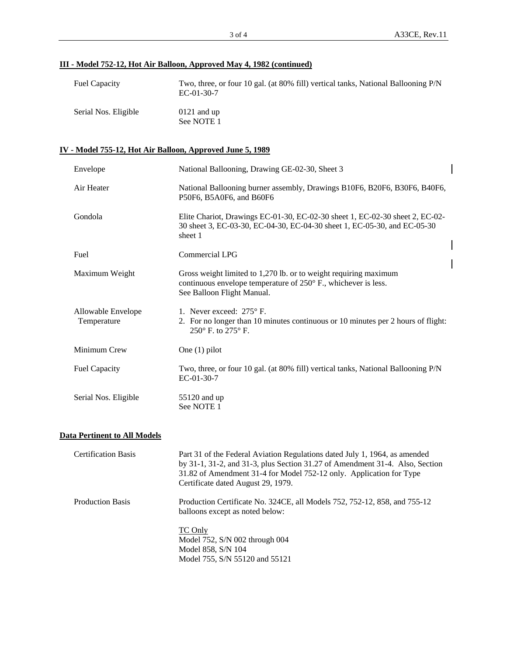# **III - Model 752-12, Hot Air Balloon, Approved May 4, 1982 (continued)**

| <b>Fuel Capacity</b> | Two, three, or four 10 gal. (at 80% fill) vertical tanks, National Ballooning P/N<br>$EC-01-30-7$ |
|----------------------|---------------------------------------------------------------------------------------------------|
| Serial Nos. Eligible | $0121$ and up<br>See NOTE 1                                                                       |

### **IV - Model 755-12, Hot Air Balloon, Approved June 5, 1989**

| Envelope                            | National Ballooning, Drawing GE-02-30, Sheet 3                                                                                                                                                                                                                          |  |
|-------------------------------------|-------------------------------------------------------------------------------------------------------------------------------------------------------------------------------------------------------------------------------------------------------------------------|--|
| Air Heater                          | National Ballooning burner assembly, Drawings B10F6, B20F6, B30F6, B40F6,<br>P50F6, B5A0F6, and B60F6                                                                                                                                                                   |  |
| Gondola                             | Elite Chariot, Drawings EC-01-30, EC-02-30 sheet 1, EC-02-30 sheet 2, EC-02-<br>30 sheet 3, EC-03-30, EC-04-30, EC-04-30 sheet 1, EC-05-30, and EC-05-30<br>sheet 1                                                                                                     |  |
| Fuel                                | Commercial LPG                                                                                                                                                                                                                                                          |  |
| Maximum Weight                      | Gross weight limited to 1,270 lb. or to weight requiring maximum<br>continuous envelope temperature of 250° F., whichever is less.<br>See Balloon Flight Manual.                                                                                                        |  |
| Allowable Envelope<br>Temperature   | 1. Never exceed: 275° F.<br>2. For no longer than 10 minutes continuous or 10 minutes per 2 hours of flight:<br>250° F. to 275° F.                                                                                                                                      |  |
| Minimum Crew                        | One $(1)$ pilot                                                                                                                                                                                                                                                         |  |
| <b>Fuel Capacity</b>                | Two, three, or four 10 gal. (at 80% fill) vertical tanks, National Ballooning P/N<br>EC-01-30-7                                                                                                                                                                         |  |
| Serial Nos. Eligible                | 55120 and up<br>See NOTE 1                                                                                                                                                                                                                                              |  |
| <b>Data Pertinent to All Models</b> |                                                                                                                                                                                                                                                                         |  |
| <b>Certification Basis</b>          | Part 31 of the Federal Aviation Regulations dated July 1, 1964, as amended<br>by 31-1, 31-2, and 31-3, plus Section 31.27 of Amendment 31-4. Also, Section<br>31.82 of Amendment 31-4 for Model 752-12 only. Application for Type<br>Certificate dated August 29, 1979. |  |

 Production Basis Production Certificate No. 324CE, all Models 752, 752-12, 858, and 755-12 balloons except as noted below:

> TC Only Model 752, S/N 002 through 004 Model 858, S/N 104 Model 755, S/N 55120 and 55121